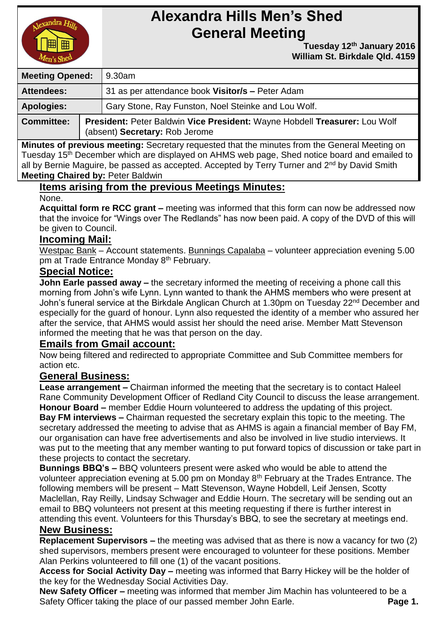

# **Alexandra Hills Men's Shed General Meeting**

 **Tuesday 12 th January 2016 William St. Birkdale Qld. 4159** 

| <b>Meeting Opened:</b> |  | 9.30am                                                                                                       |  |
|------------------------|--|--------------------------------------------------------------------------------------------------------------|--|
| <b>Attendees:</b>      |  | 31 as per attendance book Visitor/s - Peter Adam                                                             |  |
| <b>Apologies:</b>      |  | Gary Stone, Ray Funston, Noel Steinke and Lou Wolf.                                                          |  |
| <b>Committee:</b>      |  | President: Peter Baldwin Vice President: Wayne Hobdell Treasurer: Lou Wolf<br>(absent) Secretary: Rob Jerome |  |

**Minutes of previous meeting:** Secretary requested that the minutes from the General Meeting on Tuesday 15<sup>th</sup> December which are displayed on AHMS web page, Shed notice board and emailed to all by Bernie Maguire, be passed as accepted. Accepted by Terry Turner and  $2^{nd}$  by David Smith **Meeting Chaired by:** Peter Baldwin

# **Items arising from the previous Meetings Minutes:**

None.

**Acquittal form re RCC grant –** meeting was informed that this form can now be addressed now that the invoice for "Wings over The Redlands" has now been paid. A copy of the DVD of this will be given to Council.

#### **Incoming Mail:**

Westpac Bank – Account statements. Bunnings Capalaba – volunteer appreciation evening 5.00 pm at Trade Entrance Monday 8<sup>th</sup> February.

# **Special Notice:**

**John Earle passed away –** the secretary informed the meeting of receiving a phone call this morning from John's wife Lynn. Lynn wanted to thank the AHMS members who were present at John's funeral service at the Birkdale Anglican Church at 1.30pm on Tuesday 22<sup>nd</sup> December and especially for the guard of honour. Lynn also requested the identity of a member who assured her after the service, that AHMS would assist her should the need arise. Member Matt Stevenson informed the meeting that he was that person on the day.

# **Emails from Gmail account:**

Now being filtered and redirected to appropriate Committee and Sub Committee members for action etc.

# **General Business:**

**Lease arrangement –** Chairman informed the meeting that the secretary is to contact Haleel Rane Community Development Officer of Redland City Council to discuss the lease arrangement. **Honour Board –** member Eddie Hourn volunteered to address the updating of this project. **Bay FM interviews –** Chairman requested the secretary explain this topic to the meeting. The secretary addressed the meeting to advise that as AHMS is again a financial member of Bay FM, our organisation can have free advertisements and also be involved in live studio interviews. It was put to the meeting that any member wanting to put forward topics of discussion or take part in these projects to contact the secretary.

**Bunnings BBQ's –** BBQ volunteers present were asked who would be able to attend the volunteer appreciation evening at 5.00 pm on Monday 8<sup>th</sup> February at the Trades Entrance. The following members will be present – Matt Stevenson, Wayne Hobdell, Leif Jensen, Scotty Maclellan, Ray Reilly, Lindsay Schwager and Eddie Hourn. The secretary will be sending out an email to BBQ volunteers not present at this meeting requesting if there is further interest in attending this event. Volunteers for this Thursday's BBQ, to see the secretary at meetings end.

# **New Business:**

**Replacement Supervisors –** the meeting was advised that as there is now a vacancy for two (2) shed supervisors, members present were encouraged to volunteer for these positions. Member Alan Perkins volunteered to fill one (1) of the vacant positions.

**Access for Social Activity Day –** meeting was informed that Barry Hickey will be the holder of the key for the Wednesday Social Activities Day.

**New Safety Officer –** meeting was informed that member Jim Machin has volunteered to be a Safety Officer taking the place of our passed member John Earle. **Page 1.** Page 1.